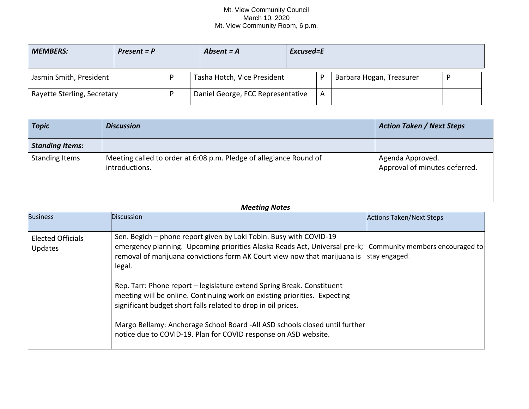## Mt. View Community Council March 10, 2020 Mt. View Community Room, 6 p.m.

| <b>MEMBERS:</b>             | $Present = P$ |  | Absent $= A$                      | Excused=E |   |                          |  |
|-----------------------------|---------------|--|-----------------------------------|-----------|---|--------------------------|--|
| Jasmin Smith, President     |               |  | Tasha Hotch, Vice President       |           |   | Barbara Hogan, Treasurer |  |
| Rayette Sterling, Secretary |               |  | Daniel George, FCC Representative |           | A |                          |  |

| <b>Topic</b>           | <b>Discussion</b>                                                                    | <b>Action Taken / Next Steps</b>                  |
|------------------------|--------------------------------------------------------------------------------------|---------------------------------------------------|
| <b>Standing Items:</b> |                                                                                      |                                                   |
| <b>Standing Items</b>  | Meeting called to order at 6:08 p.m. Pledge of allegiance Round of<br>introductions. | Agenda Approved.<br>Approval of minutes deferred. |

## *Meeting Notes*

| <b>Business</b>                     | <b>Discussion</b>                                                                                                                                                                                                                                                                                                                                                                                                                                                                                                                                                                                                                                  | <b>Actions Taken/Next Steps</b> |
|-------------------------------------|----------------------------------------------------------------------------------------------------------------------------------------------------------------------------------------------------------------------------------------------------------------------------------------------------------------------------------------------------------------------------------------------------------------------------------------------------------------------------------------------------------------------------------------------------------------------------------------------------------------------------------------------------|---------------------------------|
| <b>Elected Officials</b><br>Updates | Sen. Begich - phone report given by Loki Tobin. Busy with COVID-19<br>emergency planning. Upcoming priorities Alaska Reads Act, Universal pre-k; Community members encouraged to<br>removal of marijuana convictions form AK Court view now that marijuana is<br>legal.<br>Rep. Tarr: Phone report – legislature extend Spring Break. Constituent<br>meeting will be online. Continuing work on existing priorities. Expecting<br>significant budget short falls related to drop in oil prices.<br>Margo Bellamy: Anchorage School Board - All ASD schools closed until further<br>notice due to COVID-19. Plan for COVID response on ASD website. | stay engaged.                   |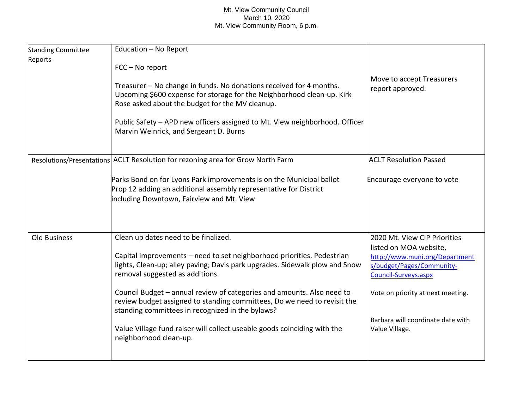## Mt. View Community Council March 10, 2020 Mt. View Community Room, 6 p.m.

| <b>Standing Committee</b><br>Reports | Education - No Report                                                                                                                                                                                  |                                                                                                               |
|--------------------------------------|--------------------------------------------------------------------------------------------------------------------------------------------------------------------------------------------------------|---------------------------------------------------------------------------------------------------------------|
|                                      | FCC - No report                                                                                                                                                                                        |                                                                                                               |
|                                      | Treasurer - No change in funds. No donations received for 4 months.<br>Upcoming \$600 expense for storage for the Neighborhood clean-up. Kirk<br>Rose asked about the budget for the MV cleanup.       | Move to accept Treasurers<br>report approved.                                                                 |
|                                      | Public Safety - APD new officers assigned to Mt. View neighborhood. Officer<br>Marvin Weinrick, and Sergeant D. Burns                                                                                  |                                                                                                               |
|                                      | Resolutions/Presentations ACLT Resolution for rezoning area for Grow North Farm                                                                                                                        | <b>ACLT Resolution Passed</b>                                                                                 |
|                                      | Parks Bond on for Lyons Park improvements is on the Municipal ballot<br>Prop 12 adding an additional assembly representative for District<br>including Downtown, Fairview and Mt. View                 | Encourage everyone to vote                                                                                    |
| Old Business                         | Clean up dates need to be finalized.                                                                                                                                                                   | 2020 Mt. View CIP Priorities                                                                                  |
|                                      | Capital improvements - need to set neighborhood priorities. Pedestrian<br>lights, Clean-up; alley paving; Davis park upgrades. Sidewalk plow and Snow<br>removal suggested as additions.               | listed on MOA website,<br>http://www.muni.org/Department<br>s/budget/Pages/Community-<br>Council-Surveys.aspx |
|                                      | Council Budget - annual review of categories and amounts. Also need to<br>review budget assigned to standing committees, Do we need to revisit the<br>standing committees in recognized in the bylaws? | Vote on priority at next meeting.                                                                             |
|                                      | Value Village fund raiser will collect useable goods coinciding with the<br>neighborhood clean-up.                                                                                                     | Barbara will coordinate date with<br>Value Village.                                                           |
|                                      |                                                                                                                                                                                                        |                                                                                                               |